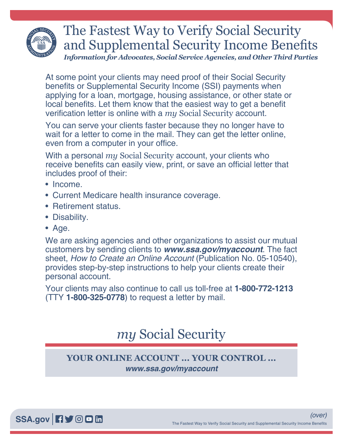

## The Fastest Way to Verify Social Security and Supplemental Security Income Benefits *Information for Advocates, Social Service Agencies, and Other Third Parties*

At some point your clients may need proof of their Social Security benefits or Supplemental Security Income (SSI) payments when applying for a loan, mortgage, housing assistance, or other state or local benefits. Let them know that the easiest way to get a benefit verification letter is online with a *my* [Social Security](https://www.ssa.gov/myaccount/) account.

You can serve your clients faster because they no longer have to wait for a letter to come in the mail. They can get the letter online, even from a computer in your office.

With a personal *my* [Social Security](https://www.ssa.gov/myaccount/) account, your clients who receive benefits can easily view, print, or save an official letter that includes proof of their:

- Income.
- Current Medicare health insurance coverage.
- Retirement status.
- Disability.
- Age.

We are asking agencies and other organizations to assist our mutual customers by sending clients to *[www.ssa.gov/myaccount](https://www.ssa.gov/myaccount)*. The fact sheet, *[How to Create an Online Account](https://www.ssa.gov/pubs/EN-05-10540.pdf)* (Publication No. 05-10540), provides step-by-step instructions to help your clients create their personal account.

Your clients may also continue to call us toll-free at **1-800-772-1213** (TTY **1-800-325-0778**) to request a letter by mail.

## *my* [Social Security](http://socialsecurity.gov/myaccount)

## **YOUR ONLINE ACCOUNT ... YOUR CONTROL ...** *[www.ssa.gov/myaccount](https://www.ssa.gov/myaccount)*

[SSA.gov](https://www.ssa.gov) **日**》 © 回 m